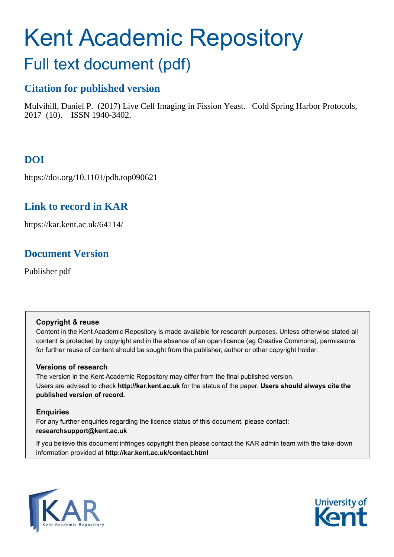# Kent Academic Repository

# Full text document (pdf)

# **Citation for published version**

Mulvihill, Daniel P. (2017) Live Cell Imaging in Fission Yeast. Cold Spring Harbor Protocols, 2017 (10). ISSN 1940-3402.

# **DOI**

https://doi.org/10.1101/pdb.top090621

# **Link to record in KAR**

https://kar.kent.ac.uk/64114/

# **Document Version**

Publisher pdf

## **Copyright & reuse**

Content in the Kent Academic Repository is made available for research purposes. Unless otherwise stated all content is protected by copyright and in the absence of an open licence (eg Creative Commons), permissions for further reuse of content should be sought from the publisher, author or other copyright holder.

## **Versions of research**

The version in the Kent Academic Repository may differ from the final published version. Users are advised to check **http://kar.kent.ac.uk** for the status of the paper. **Users should always cite the published version of record.**

## **Enquiries**

For any further enquiries regarding the licence status of this document, please contact: **researchsupport@kent.ac.uk**

If you believe this document infringes copyright then please contact the KAR admin team with the take-down information provided at **http://kar.kent.ac.uk/contact.html**



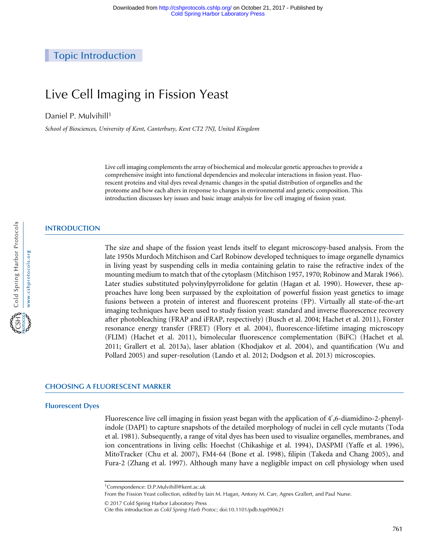## Topic Introduction

# Live Cell Imaging in Fission Yeast

Daniel P. Mulvihill<sup>1</sup>

*School of Biosciences, University of Kent, Canterbury, Kent CT2 7NJ, United Kingdom*

Live cell imaging complements the array of biochemical and molecular genetic approaches to provide a comprehensive insight into functional dependencies and molecular interactions in fission yeast. Fluorescent proteins and vital dyes reveal dynamic changes in the spatial distribution of organelles and the proteome and how each alters in response to changes in environmental and genetic composition. This introduction discusses key issues and basic image analysis for live cell imaging of fission yeast.

#### INTRODUCTION

The size and shape of the fission yeast lends itself to elegant microscopy-based analysis. From the late 1950s Murdoch Mitchison and Carl Robinow developed techniques to image organelle dynamics in living yeast by suspending cells in media containing gelatin to raise the refractive index of the mounting medium to match that of the cytoplasm (Mitchison 1957, 1970; Robinow and Marak 1966). Later studies substituted polyvinylpyrrolidone for gelatin (Hagan et al. 1990). However, these approaches have long been surpassed by the exploitation of powerful fission yeast genetics to image fusions between a protein of interest and fluorescent proteins (FP). Virtually all state-of-the-art imaging techniques have been used to study fission yeast: standard and inverse fluorescence recovery after photobleaching (FRAP and iFRAP, respectively) (Busch et al. 2004; Hachet et al. 2011), Förster resonance energy transfer (FRET) (Flory et al. 2004), fluorescence-lifetime imaging microscopy (FLIM) (Hachet et al. 2011), bimolecular fluorescence complementation (BiFC) (Hachet et al. 2011; Grallert et al. 2013a), laser ablation (Khodjakov et al. 2004), and quantification (Wu and Pollard 2005) and super-resolution (Lando et al. 2012; Dodgson et al. 2013) microscopies.

#### CHOOSING A FLUORESCENT MARKER

#### Fluorescent Dyes

Fluorescence live cell imaging in fission yeast began with the application of 4′ ,6-diamidino-2-phenylindole (DAPI) to capture snapshots of the detailed morphology of nuclei in cell cycle mutants (Toda et al. 1981). Subsequently, a range of vital dyes has been used to visualize organelles, membranes, and ion concentrations in living cells: Hoechst (Chikashige et al. 1994), DASPMI (Yaffe et al. 1996), MitoTracker (Chu et al. 2007), FM4-64 (Bone et al. 1998), filipin (Takeda and Chang 2005), and Fura-2 (Zhang et al. 1997). Although many have a negligible impact on cell physiology when used

From the Fission Yeast collection, edited by Iain M. Hagan, Antony M. Carr, Agnes Grallert, and Paul Nurse.

© 2017 Cold Spring Harbor Laboratory Press

<sup>1</sup>Correspondence: [D.P.Mulvihill@kent.ac.uk](mailto:D.P.Mulvihill@kent.ac.uk)

Cite this introduction as Cold Spring Harb Protoc; doi:10.1101/pdb.top090621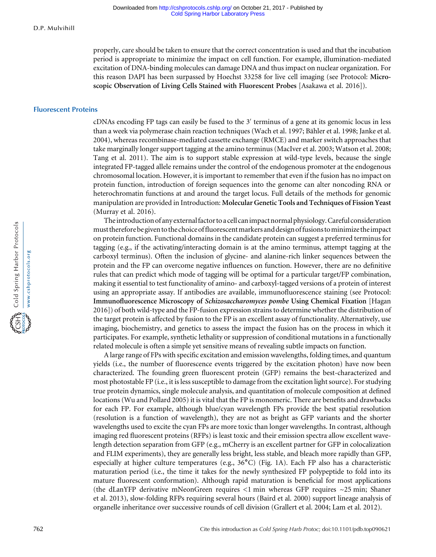properly, care should be taken to ensure that the correct concentration is used and that the incubation period is appropriate to minimize the impact on cell function. For example, illumination-mediated excitation of DNA-binding molecules can damage DNA and thus impact on nuclear organization. For this reason DAPI has been surpassed by Hoechst 33258 for live cell imaging (see Protocol: Microscopic Observation of Living Cells Stained with Fluorescent Probes [Asakawa et al. 2016]).

#### Fluorescent Proteins

cDNAs encoding FP tags can easily be fused to the 3′ terminus of a gene at its genomic locus in less than a week via polymerase chain reaction techniques (Wach et al. 1997; Bähler et al. 1998; Janke et al. 2004), whereas recombinase-mediated cassette exchange (RMCE) and marker switch approaches that take marginally longer support tagging at the amino terminus (MacIver et al. 2003; Watson et al. 2008; Tang et al. 2011). The aim is to support stable expression at wild-type levels, because the single integrated FP-tagged allele remains under the control of the endogenous promoter at the endogenous chromosomal location. However, it is important to remember that even if the fusion has no impact on protein function, introduction of foreign sequences into the genome can alter noncoding RNA or heterochromatin functions at and around the target locus. Full details of the methods for genomic manipulation are provided in Introduction: Molecular Genetic Tools and Techniques of Fission Yeast (Murray et al. 2016).

Theintroduction of any externalfactor to a cell canimpact normal physiology.Careful consideration must therefore begiven to the choice offluorescentmarkers and design offusions tominimize theimpact on protein function. Functional domains in the candidate protein can suggest a preferred terminus for tagging (e.g., if the activating/interacting domain is at the amino terminus, attempt tagging at the carboxyl terminus). Often the inclusion of glycine- and alanine-rich linker sequences between the protein and the FP can overcome negative influences on function. However, there are no definitive rules that can predict which mode of tagging will be optimal for a particular target/FP combination, making it essential to test functionality of amino- and carboxyl-tagged versions of a protein of interest using an appropriate assay. If antibodies are available, immunofluorescence staining (see Protocol: Immunofluorescence Microscopy of Schizosaccharomyces pombe Using Chemical Fixation [Hagan 2016]) of both wild-type and the FP-fusion expression strains to determine whether the distribution of the target protein is affected by fusion to the FP is an excellent assay of functionality. Alternatively, use imaging, biochemistry, and genetics to assess the impact the fusion has on the process in which it participates. For example, synthetic lethality or suppression of conditional mutations in a functionally related molecule is often a simple yet sensitive means of revealing subtle impacts on function.

A large range of FPs with specific excitation and emission wavelengths, folding times, and quantum yields (i.e., the number of fluorescence events triggered by the excitation photon) have now been characterized. The founding green fluorescent protein (GFP) remains the best-characterized and most photostable FP (i.e., it is less susceptible to damage from the excitation light source). For studying true protein dynamics, single molecule analysis, and quantitation of molecule composition at defined locations (Wu and Pollard 2005) it is vital that the FP is monomeric. There are benefits and drawbacks for each FP. For example, although blue/cyan wavelength FPs provide the best spatial resolution (resolution is a function of wavelength), they are not as bright as GFP variants and the shorter wavelengths used to excite the cyan FPs are more toxic than longer wavelengths. In contrast, although imaging red fluorescent proteins (RFPs) is least toxic and their emission spectra allow excellent wavelength detection separation from GFP (e.g., mCherry is an excellent partner for GFP in colocalization and FLIM experiments), they are generally less bright, less stable, and bleach more rapidly than GFP, especially at higher culture temperatures (e.g., 36°C) (Fig. 1A). Each FP also has a characteristic maturation period (i.e., the time it takes for the newly synthesized FP polypeptide to fold into its mature fluorescent conformation). Although rapid maturation is beneficial for most applications (the dLanYFP derivative mNeonGreen requires <1 min whereas GFP requires ~25 min; Shaner et al. 2013), slow-folding RFPs requiring several hours (Baird et al. 2000) support lineage analysis of organelle inheritance over successive rounds of cell division (Grallert et al. 2004; Lam et al. 2012).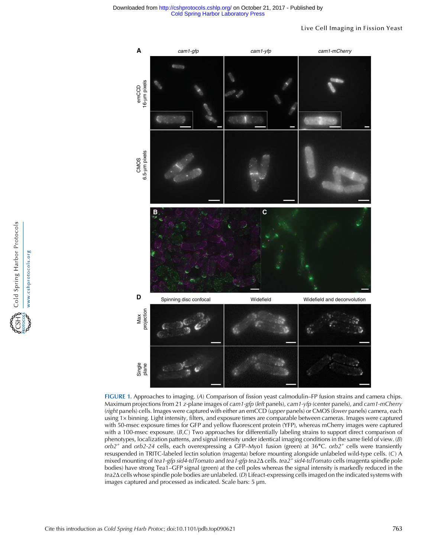#### Live Cell Imaging in Fission Yeast



FIGURE 1. Approaches to imaging. (A) Comparison of fission yeast calmodulin–FP fusion strains and camera chips. Maximum projections from 21 z-plane images of cam1-gfp (left panels), cam1-yfp (center panels), and cam1-mCherry (right panels) cells. Images were captured with either an emCCD (upper panels) or CMOS (lower panels) camera, each using 1× binning. Light intensity, filters, and exposure times are comparable between cameras. Images were captured with 50-msec exposure times for GFP and yellow fluorescent protein (YFP), whereas mCherry images were captured with a 100-msec exposure.  $(B,C)$  Two approaches for differentially labeling strains to support direct comparison of phenotypes, localization patterns, and signal intensity under identical imaging conditions in the same field of view. (B) orb2<sup>+</sup> and orb2-24 cells, each overexpressing a GFP–Myo1 fusion (green) at 36°C. orb2<sup>+</sup> cells were transiently resuspended in TRITC-labeled lectin solution (magenta) before mounting alongside unlabeled wild-type cells. (C) A mixed mounting of *tea1-gfp sid4-tdTomato* and *tea1-gfp tea2*Δ cells. tea*2<sup>+</sup> sid4-tdTomato* cells (magenta spindle pole bodies) have strong Tea1–GFP signal (green) at the cell poles whereas the signal intensity is markedly reduced in the tea2Δ cells whose spindle pole bodies are unlabeled. (D) Lifeact-expressing cells imaged on the indicated systems with images captured and processed as indicated. Scale bars: 5 µm.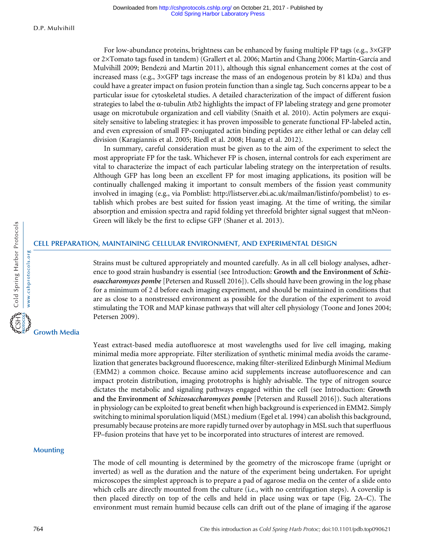For low-abundance proteins, brightness can be enhanced by fusing multiple FP tags (e.g., 3×GFP or 2×Tomato tags fused in tandem) (Grallert et al. 2006; Martin and Chang 2006; Martín-García and Mulvihill 2009; Bendezú and Martin 2011), although this signal enhancement comes at the cost of increased mass (e.g., 3×GFP tags increase the mass of an endogenous protein by 81 kDa) and thus could have a greater impact on fusion protein function than a single tag. Such concerns appear to be a particular issue for cytoskeletal studies. A detailed characterization of the impact of different fusion strategies to label the  $\alpha$ -tubulin Atb2 highlights the impact of FP labeling strategy and gene promoter usage on microtubule organization and cell viability (Snaith et al. 2010). Actin polymers are exquisitely sensitive to labeling strategies: it has proven impossible to generate functional FP-labeled actin, and even expression of small FP-conjugated actin binding peptides are either lethal or can delay cell division (Karagiannis et al. 2005; Riedl et al. 2008; Huang et al. 2012).

In summary, careful consideration must be given as to the aim of the experiment to select the most appropriate FP for the task. Whichever FP is chosen, internal controls for each experiment are vital to characterize the impact of each particular labeling strategy on the interpretation of results. Although GFP has long been an excellent FP for most imaging applications, its position will be continually challenged making it important to consult members of the fission yeast community involved in imaging (e.g., via Pomblist: [http://listserver.ebi.ac.uk/mailman/listinfo/pombelist\)](http://listserver.ebi.ac.uk/mailman/listinfo/pombelist) to establish which probes are best suited for fission yeast imaging. At the time of writing, the similar absorption and emission spectra and rapid folding yet threefold brighter signal suggest that mNeon-Green will likely be the first to eclipse GFP (Shaner et al. 2013).

#### CELL PREPARATION, MAINTAINING CELLULAR ENVIRONMENT, AND EXPERIMENTAL DESIGN

Strains must be cultured appropriately and mounted carefully. As in all cell biology analyses, adherence to good strain husbandry is essential (see Introduction: Growth and the Environment of *Schiz*osaccharomyces pombe [Petersen and Russell 2016]). Cells should have been growing in the log phase for a minimum of 2 d before each imaging experiment, and should be maintained in conditions that are as close to a nonstressed environment as possible for the duration of the experiment to avoid stimulating the TOR and MAP kinase pathways that will alter cell physiology (Toone and Jones 2004; Petersen 2009).

Yeast extract-based media autofluoresce at most wavelengths used for live cell imaging, making minimal media more appropriate. Filter sterilization of synthetic minimal media avoids the caramelization that generates background fluorescence, making filter-sterilized Edinburgh Minimal Medium (EMM2) a common choice. Because amino acid supplements increase autofluorescence and can impact protein distribution, imaging prototrophs is highly advisable. The type of nitrogen source dictates the metabolic and signaling pathways engaged within the cell (see Introduction: Growth and the Environment of *Schizosaccharomyces pombe* [Petersen and Russell 2016]). Such alterations in physiology can be exploited to great benefit when high background is experienced in EMM2. Simply switching to minimal sporulation liquid (MSL) medium (Egel et al. 1994) can abolish this background, presumably because proteins are more rapidly turned over by autophagy in MSL such that superfluous FP–fusion proteins that have yet to be incorporated into structures of interest are removed.

#### **Mounting**

The mode of cell mounting is determined by the geometry of the microscope frame (upright or inverted) as well as the duration and the nature of the experiment being undertaken. For upright microscopes the simplest approach is to prepare a pad of agarose media on the center of a slide onto which cells are directly mounted from the culture (i.e., with no centrifugation steps). A coverslip is then placed directly on top of the cells and held in place using wax or tape (Fig. 2A–C). The environment must remain humid because cells can drift out of the plane of imaging if the agarose

### Growth Media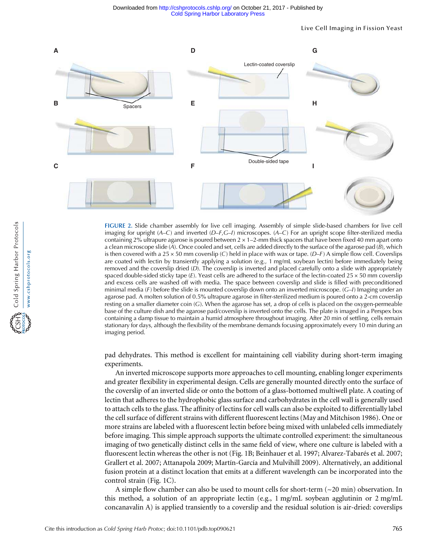[Cold Spring Harbor Laboratory Press](http://www.cshlpress.com) Downloaded from<http://cshprotocols.cshlp.org/>on October 21, 2017 - Published by



FIGURE 2. Slide chamber assembly for live cell imaging. Assembly of simple slide-based chambers for live cell imaging for upright  $(A-C)$  and inverted  $(D-F, G-I)$  microscopes.  $(A-C)$  For an upright scope filter-sterilized media containing 2% ultrapure agarose is poured between  $2 \times 1-2$ -mm thick spacers that have been fixed 40 mm apart onto a clean microscope slide (A). Once cooled and set, cells are added directly to the surface of the agarose pad ( $B$ ), which is then covered with a 25  $\times$  50 mm coverslip (C) held in place with wax or tape. (D–F) A simple flow cell. Coverslips are coated with lectin by transiently applying a solution (e.g., 1 mg/mL soybean lectin) before immediately being removed and the coverslip dried (D). The coverslip is inverted and placed carefully onto a slide with appropriately spaced double-sided sticky tape  $(E)$ . Yeast cells are adhered to the surface of the lectin-coated  $25 \times 50$  mm coverslip and excess cells are washed off with media. The space between coverslip and slide is filled with preconditioned minimal media  $(F)$  before the slide is mounted coverslip down onto an inverted microscope.  $(G-I)$  Imaging under an agarose pad. A molten solution of 0.5% ultrapure agarose in filter-sterilized medium is poured onto a 2-cm coverslip resting on a smaller diameter coin (G). When the agarose has set, a drop of cells is placed on the oxygen-permeable base of the culture dish and the agarose pad/coverslip is inverted onto the cells. The plate is imaged in a Perspex box containing a damp tissue to maintain a humid atmosphere throughout imaging. After 20 min of settling, cells remain stationary for days, although the flexibility of the membrane demands focusing approximately every 10 min during an imaging period.

pad dehydrates. This method is excellent for maintaining cell viability during short-term imaging experiments.

An inverted microscope supports more approaches to cell mounting, enabling longer experiments and greater flexibility in experimental design. Cells are generally mounted directly onto the surface of the coverslip of an inverted slide or onto the bottom of a glass-bottomed multiwell plate. A coating of lectin that adheres to the hydrophobic glass surface and carbohydrates in the cell wall is generally used to attach cells to the glass. The affinity of lectins for cell walls can also be exploited to differentially label the cell surface of different strains with different fluorescent lectins (May and Mitchison 1986). One or more strains are labeled with a fluorescent lectin before being mixed with unlabeled cells immediately before imaging. This simple approach supports the ultimate controlled experiment: the simultaneous imaging of two genetically distinct cells in the same field of view, where one culture is labeled with a fluorescent lectin whereas the other is not (Fig. 1B; Beinhauer et al. 1997; Alvarez-Tabarés et al. 2007; Grallert et al. 2007; Attanapola 2009; Martín-García and Mulvihill 2009). Alternatively, an additional fusion protein at a distinct location that emits at a different wavelength can be incorporated into the control strain (Fig. 1C).

A simple flow chamber can also be used to mount cells for short-term (~20 min) observation. In this method, a solution of an appropriate lectin (e.g., 1 mg/mL soybean agglutinin or 2 mg/mL concanavalin A) is applied transiently to a coverslip and the residual solution is air-dried: coverslips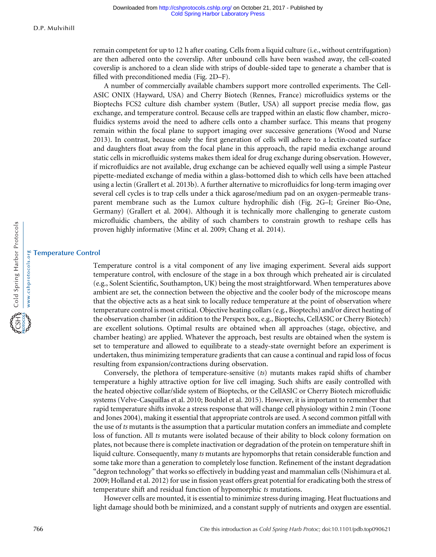remain competent for up to 12 h after coating. Cells from a liquid culture (i.e., without centrifugation) are then adhered onto the coverslip. After unbound cells have been washed away, the cell-coated coverslip is anchored to a clean slide with strips of double-sided tape to generate a chamber that is filled with preconditioned media (Fig. 2D–F).

A number of commercially available chambers support more controlled experiments. The Cell-ASIC ONIX (Hayward, USA) and Cherry Biotech (Rennes, France) microfluidics systems or the Bioptechs FCS2 culture dish chamber system (Butler, USA) all support precise media flow, gas exchange, and temperature control. Because cells are trapped within an elastic flow chamber, microfluidics systems avoid the need to adhere cells onto a chamber surface. This means that progeny remain within the focal plane to support imaging over successive generations (Wood and Nurse 2013). In contrast, because only the first generation of cells will adhere to a lectin-coated surface and daughters float away from the focal plane in this approach, the rapid media exchange around static cells in microfluidic systems makes them ideal for drug exchange during observation. However, if microfluidics are not available, drug exchange can be achieved equally well using a simple Pasteur pipette-mediated exchange of media within a glass-bottomed dish to which cells have been attached using a lectin (Grallert et al. 2013b). A further alternative to microfluidics for long-term imaging over several cell cycles is to trap cells under a thick agarose/medium pad on an oxygen-permeable transparent membrane such as the Lumox culture hydrophilic dish (Fig. 2G–I; Greiner Bio-One, Germany) (Grallert et al. 2004). Although it is technically more challenging to generate custom microfluidic chambers, the ability of such chambers to constrain growth to reshape cells has proven highly informative (Minc et al. 2009; Chang et al. 2014).

#### Temperature Control

Temperature control is a vital component of any live imaging experiment. Several aids support temperature control, with enclosure of the stage in a box through which preheated air is circulated (e.g., Solent Scientific, Southampton, UK) being the most straightforward. When temperatures above ambient are set, the connection between the objective and the cooler body of the microscope means that the objective acts as a heat sink to locally reduce temperature at the point of observation where temperature control is most critical. Objective heating collars (e.g., Bioptechs) and/or direct heating of the observation chamber (in addition to the Perspex box, e.g., Bioptechs, CellASIC or Cherry Biotech) are excellent solutions. Optimal results are obtained when all approaches (stage, objective, and chamber heating) are applied. Whatever the approach, best results are obtained when the system is set to temperature and allowed to equilibrate to a steady-state overnight before an experiment is undertaken, thus minimizing temperature gradients that can cause a continual and rapid loss of focus resulting from expansion/contractions during observation.

Conversely, the plethora of temperature-sensitive (*ts*) mutants makes rapid shifts of chamber temperature a highly attractive option for live cell imaging. Such shifts are easily controlled with the heated objective collar/slide system of Bioptechs, or the CellASIC or Cherry Biotech microfluidic systems (Velve-Casquillas et al. 2010; Bouhlel et al. 2015). However, it is important to remember that rapid temperature shifts invoke a stress response that will change cell physiology within 2 min (Toone and Jones 2004), making it essential that appropriate controls are used. A second common pitfall with the use of *ts* mutants is the assumption that a particular mutation confers an immediate and complete loss of function. All *ts* mutants were isolated because of their ability to block colony formation on plates, not because there is complete inactivation or degradation of the protein on temperature shift in liquid culture. Consequently, many *ts* mutants are hypomorphs that retain considerable function and some take more than a generation to completely lose function. Refinement of the instant degradation "degron technology" that works so effectively in budding yeast and mammalian cells (Nishimura et al. 2009; Holland et al. 2012) for use in fission yeast offers great potential for eradicating both the stress of temperature shift and residual function of hypomorphic *ts* mutations.

However cells are mounted, it is essential to minimize stress during imaging. Heat fluctuations and light damage should both be minimized, and a constant supply of nutrients and oxygen are essential.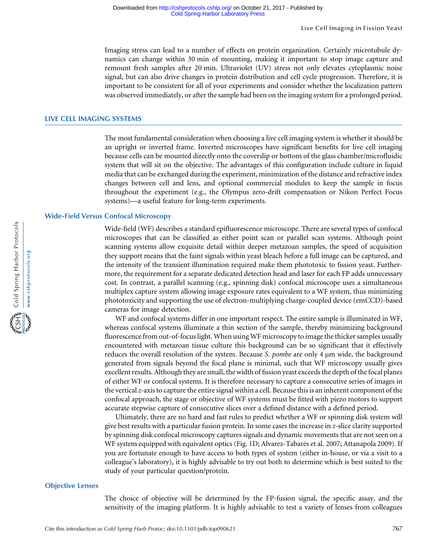Imaging stress can lead to a number of effects on protein organization. Certainly microtubule dynamics can change within 30 min of mounting, making it important to stop image capture and remount fresh samples after 20 min. Ultraviolet (UV) stress not only elevates cytoplasmic noise signal, but can also drive changes in protein distribution and cell cycle progression. Therefore, it is important to be consistent for all of your experiments and consider whether the localization pattern was observed immediately, or after the sample had been on the imaging system for a prolonged period.

#### LIVE CELL IMAGING SYSTEMS

The most fundamental consideration when choosing a live cell imaging system is whether it should be an upright or inverted frame. Inverted microscopes have significant benefits for live cell imaging because cells can be mounted directly onto the coverslip or bottom of the glass chamber/microfluidic system that will sit on the objective. The advantages of this configuration include culture in liquid media that can be exchanged during the experiment, minimization of the distance and refractive index changes between cell and lens, and optional commercial modules to keep the sample in focus throughout the experiment (e.g., the Olympus zero-drift compensation or Nikon Perfect Focus systems)—a useful feature for long-term experiments.

#### Wide-Field Versus Confocal Microscopy

Wide-field (WF) describes a standard epifluorescence microscope. There are several types of confocal microscopes that can be classified as either point scan or parallel scan systems. Although point scanning systems allow exquisite detail within deeper metazoan samples, the speed of acquisition they support means that the faint signals within yeast bleach before a full image can be captured, and the intensity of the transient illumination required make them phototoxic to fission yeast. Furthermore, the requirement for a separate dedicated detection head and laser for each FP adds unnecessary cost. In contrast, a parallel scanning (e.g., spinning disk) confocal microscope uses a simultaneous multiplex capture system allowing image exposure rates equivalent to a WF system, thus minimizing phototoxicity and supporting the use of electron-multiplying charge-coupled device (emCCD)-based cameras for image detection.

WF and confocal systems differ in one important respect. The entire sample is illuminated in WF, whereas confocal systems illuminate a thin section of the sample, thereby minimizing background fluorescence from out-of-focus light. When using WF microscopy to image the thicker samples usually encountered with metazoan tissue culture this background can be so significant that it effectively reduces the overall resolution of the system. Because *S. pombe* are only 4 µm wide, the background generated from signals beyond the focal plane is minimal, such that WF microscopy usually gives excellent results. Although they are small, the width of fission yeast exceeds the depth of the focal planes of either WF or confocal systems. It is therefore necessary to capture a consecutive series of images in the vertical*z*-axis to capture the entire signal within a cell. Because this is an inherent component of the confocal approach, the stage or objective of WF systems must be fitted with piezo motors to support accurate stepwise capture of consecutive slices over a defined distance with a defined period.

Ultimately, there are no hard and fast rules to predict whether a WF or spinning disk system will give best results with a particular fusion protein. In some cases the increase in *z*-slice clarity supported by spinning disk confocal microscopy captures signals and dynamic movements that are not seen on a WF system equipped with equivalent optics (Fig. 1D; Alvarez-Tabarés et al. 2007; Attanapola 2009). If you are fortunate enough to have access to both types of system (either in-house, or via a visit to a colleague's laboratory), it is highly advisable to try out both to determine which is best suited to the study of your particular question/protein.

#### Objective Lenses

The choice of objective will be determined by the FP-fusion signal, the specific assay, and the sensitivity of the imaging platform. It is highly advisable to test a variety of lenses from colleagues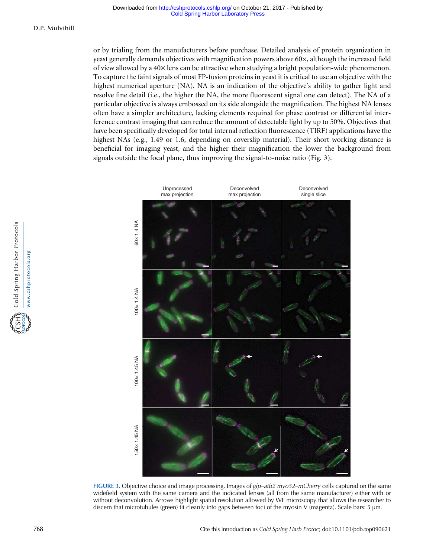or by trialing from the manufacturers before purchase. Detailed analysis of protein organization in yeast generally demands objectives with magnification powers above 60×, although the increased field of view allowed by a  $40\times$  lens can be attractive when studying a bright population-wide phenomenon. To capture the faint signals of most FP-fusion proteins in yeast it is critical to use an objective with the highest numerical aperture (NA). NA is an indication of the objective's ability to gather light and resolve fine detail (i.e., the higher the NA, the more fluorescent signal one can detect). The NA of a particular objective is always embossed on its side alongside the magnification. The highest NA lenses often have a simpler architecture, lacking elements required for phase contrast or differential interference contrast imaging that can reduce the amount of detectable light by up to 50%. Objectives that have been specifically developed for total internal reflection fluorescence (TIRF) applications have the highest NAs (e.g., 1.49 or 1.6, depending on coverslip material). Their short working distance is beneficial for imaging yeast, and the higher their magnification the lower the background from signals outside the focal plane, thus improving the signal-to-noise ratio (Fig. 3).



FIGURE 3. Objective choice and image processing. Images of gfp–atb2 myo52–mCherry cells captured on the same widefield system with the same camera and the indicated lenses (all from the same manufacturer) either with or without deconvolution. Arrows highlight spatial resolution allowed by WF microscopy that allows the researcher to discern that microtubules (green) fit cleanly into gaps between foci of the myosin V (magenta). Scale bars: 5 µm.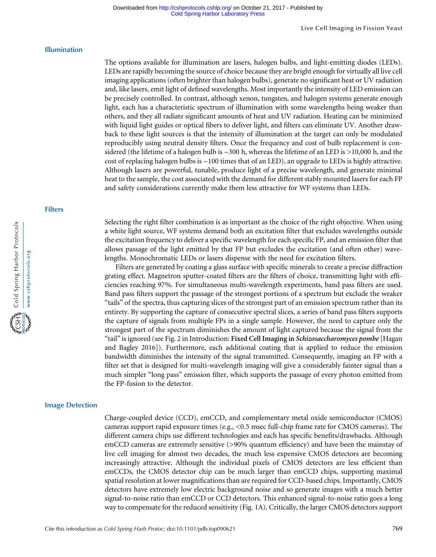#### Illumination

The options available for illumination are lasers, halogen bulbs, and light-emitting diodes (LEDs). LEDs are rapidly becoming the source of choice because they are bright enough for virtually all live cell imaging applications (often brighter than halogen bulbs), generate no significant heat or UV radiation and, like lasers, emit light of defined wavelengths. Most importantly the intensity of LED emission can be precisely controlled. In contrast, although xenon, tungsten, and halogen systems generate enough light, each has a characteristic spectrum of illumination with some wavelengths being weaker than others, and they all radiate significant amounts of heat and UV radiation. Heating can be minimized with liquid light guides or optical fibers to deliver light, and filters can eliminate UV. Another drawback to these light sources is that the intensity of illumination at the target can only be modulated reproducibly using neutral density filters. Once the frequency and cost of bulb replacement is considered (the lifetime of a halogen bulb is  $\sim$ 300 h, whereas the lifetime of an LED is  $>$ 10,000 h, and the cost of replacing halogen bulbs is  $\sim$ 100 times that of an LED), an upgrade to LEDs is highly attractive. Although lasers are powerful, tunable, produce light of a precise wavelength, and generate minimal heat to the sample, the cost associated with the demand for different stably mounted lasers for each FP and safety considerations currently make them less attractive for WF systems than LEDs.

#### **Filters**

**PORTA** Cold Spring Harbor Protocols<br>CSHA Cold Spring Harbor Protocols www.cshprotocols.org Selecting the right filter combination is as important as the choice of the right objective. When using a white light source, WF systems demand both an excitation filter that excludes wavelengths outside the excitation frequency to deliver a specific wavelength for each specific FP, and an emission filter that allows passage of the light emitted by that FP but excludes the excitation (and often other) wavelengths. Monochromatic LEDs or lasers dispense with the need for excitation filters.

Filters are generated by coating a glass surface with specific minerals to create a precise diffraction grating effect. Magnetron sputter-coated filters are the filters of choice, transmitting light with efficiencies reaching 97%. For simultaneous multi-wavelength experiments, band pass filters are used. Band pass filters support the passage of the strongest portions of a spectrum but exclude the weaker "tails" of the spectra, thus capturing slices of the strongest part of an emission spectrum rather than its entirety. By supporting the capture of consecutive spectral slices, a series of band pass filters supports the capture of signals from multiple FPs in a single sample. However, the need to capture only the strongest part of the spectrum diminishes the amount of light captured because the signal from the "tail" is ignored (see Fig. 2 in Introduction: Fixed Cell Imaging in Schizosaccharomyces pombe [Hagan and Bagley 2016]). Furthermore, each additional coating that is applied to reduce the emission bandwidth diminishes the intensity of the signal transmitted. Consequently, imaging an FP with a filter set that is designed for multi-wavelength imaging will give a considerably fainter signal than a much simpler "long pass" emission filter, which supports the passage of every photon emitted from the FP-fusion to the detector.

#### Image Detection

Charge-coupled device (CCD), emCCD, and complementary metal oxide semiconductor (CMOS) cameras support rapid exposure times (e.g., <0.5 msec full-chip frame rate for CMOS cameras). The different camera chips use different technologies and each has specific benefits/drawbacks. Although emCCD cameras are extremely sensitive (>90% quantum efficiency) and have been the mainstay of live cell imaging for almost two decades, the much less expensive CMOS detectors are becoming increasingly attractive. Although the individual pixels of CMOS detectors are less efficient than emCCDs, the CMOS detector chip can be much larger than emCCD chips, supporting maximal spatial resolution at lower magnifications than are required for CCD-based chips. Importantly, CMOS detectors have extremely low electric background noise and so generate images with a much better signal-to-noise ratio than emCCD or CCD detectors. This enhanced signal-to-noise ratio goes a long way to compensate for the reduced sensitivity (Fig. 1A). Critically, the larger CMOS detectors support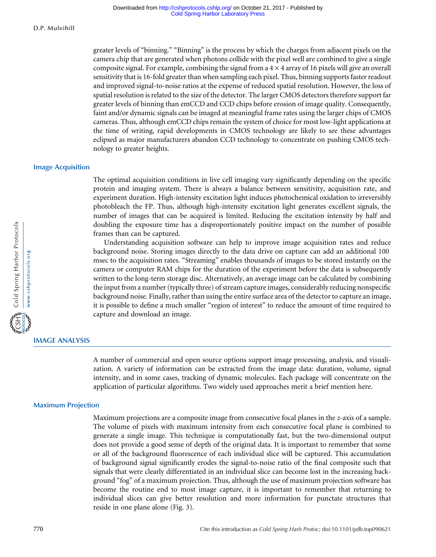greater levels of "binning." "Binning" is the process by which the charges from adjacent pixels on the camera chip that are generated when photons collide with the pixel well are combined to give a single composite signal. For example, combining the signal from a  $4 \times 4$  array of 16 pixels will give an overall sensitivity that is 16-fold greater than when sampling each pixel. Thus, binning supports faster readout and improved signal-to-noise ratios at the expense of reduced spatial resolution. However, the loss of spatial resolution is related to the size of the detector. The larger CMOS detectors therefore support far greater levels of binning than emCCD and CCD chips before erosion of image quality. Consequently, faint and/or dynamic signals can be imaged at meaningful frame rates using the larger chips of CMOS cameras. Thus, although emCCD chips remain the system of choice for most low-light applications at the time of writing, rapid developments in CMOS technology are likely to see these advantages eclipsed as major manufacturers abandon CCD technology to concentrate on pushing CMOS technology to greater heights.

#### Image Acquisition

The optimal acquisition conditions in live cell imaging vary significantly depending on the specific protein and imaging system. There is always a balance between sensitivity, acquisition rate, and experiment duration. High-intensity excitation light induces photochemical oxidation to irreversibly photobleach the FP. Thus, although high-intensity excitation light generates excellent signals, the number of images that can be acquired is limited. Reducing the excitation intensity by half and doubling the exposure time has a disproportionately positive impact on the number of possible frames than can be captured.

Understanding acquisition software can help to improve image acquisition rates and reduce background noise. Storing images directly to the data drive on capture can add an additional 100 msec to the acquisition rates. "Streaming" enables thousands of images to be stored instantly on the camera or computer RAM chips for the duration of the experiment before the data is subsequently written to the long-term storage disc. Alternatively, an average image can be calculated by combining the input from a number (typically three) of stream capture images, considerably reducing nonspecific background noise. Finally, rather than using the entire surface area of the detector to capture an image, it is possible to define a much smaller "region of interest" to reduce the amount of time required to capture and download an image.

#### IMAGE ANALYSIS

A number of commercial and open source options support image processing, analysis, and visualization. A variety of information can be extracted from the image data: duration, volume, signal intensity, and in some cases, tracking of dynamic molecules. Each package will concentrate on the application of particular algorithms. Two widely used approaches merit a brief mention here.

#### Maximum Projection

Maximum projections are a composite image from consecutive focal planes in the *z*-axis of a sample. The volume of pixels with maximum intensity from each consecutive focal plane is combined to generate a single image. This technique is computationally fast, but the two-dimensional output does not provide a good sense of depth of the original data. It is important to remember that some or all of the background fluorescence of each individual slice will be captured. This accumulation of background signal significantly erodes the signal-to-noise ratio of the final composite such that signals that were clearly differentiated in an individual slice can become lost in the increasing background "fog" of a maximum projection. Thus, although the use of maximum projection software has become the routine end to most image capture, it is important to remember that returning to individual slices can give better resolution and more information for punctate structures that reside in one plane alone (Fig. 3).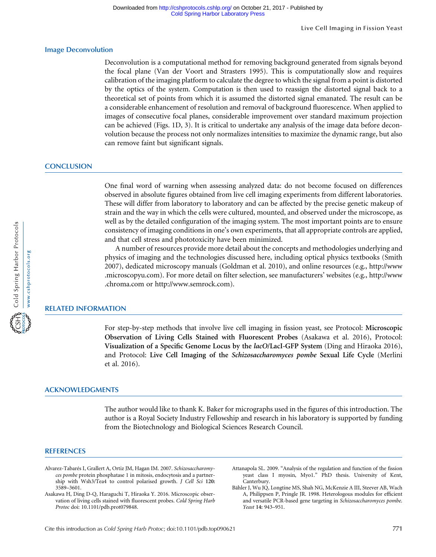#### Image Deconvolution

Deconvolution is a computational method for removing background generated from signals beyond the focal plane (Van der Voort and Strasters 1995). This is computationally slow and requires calibration of the imaging platform to calculate the degree to which the signal from a point is distorted by the optics of the system. Computation is then used to reassign the distorted signal back to a theoretical set of points from which it is assumed the distorted signal emanated. The result can be a considerable enhancement of resolution and removal of background fluorescence. When applied to images of consecutive focal planes, considerable improvement over standard maximum projection can be achieved (Figs. 1D, 3). It is critical to undertake any analysis of the image data before deconvolution because the process not only normalizes intensities to maximize the dynamic range, but also can remove faint but significant signals.

#### **CONCLUSION**

One final word of warning when assessing analyzed data: do not become focused on differences observed in absolute figures obtained from live cell imaging experiments from different laboratories. These will differ from laboratory to laboratory and can be affected by the precise genetic makeup of strain and the way in which the cells were cultured, mounted, and observed under the microscope, as well as by the detailed configuration of the imaging system. The most important points are to ensure consistency of imaging conditions in one's own experiments, that all appropriate controls are applied, and that cell stress and phototoxicity have been minimized.

A number of resources provide more detail about the concepts and methodologies underlying and physics of imaging and the technologies discussed here, including optical physics textbooks (Smith 2007), dedicated microscopy manuals (Goldman et al. 2010), and online resources (e.g., [http://www](http://www.microscopyu.com) [.microscopyu.com](http://www.microscopyu.com)). For more detail on filter selection, see manufacturers' websites (e.g., [http://www](http://www.chroma.com) [.chroma.com](http://www.chroma.com) or [http://www.semrock.com\)](http://www.semrock.com).

#### RELATED INFORMATION

For step-by-step methods that involve live cell imaging in fission yeast, see Protocol: Microscopic Observation of Living Cells Stained with Fluorescent Probes (Asakawa et al. 2016), Protocol: Visualization of a Specific Genome Locus by the lacO/LacI-GFP System (Ding and Hiraoka 2016), and Protocol: Live Cell Imaging of the Schizosaccharomyces pombe Sexual Life Cycle (Merlini et al. 2016).

#### ACKNOWLEDGMENTS

The author would like to thank K. Baker for micrographs used in the figures of this introduction. The author is a Royal Society Industry Fellowship and research in his laboratory is supported by funding from the Biotechnology and Biological Sciences Research Council.

#### **REFERENCES**

- Alvarez-Tabarés I, Grallert A, Ortiz JM, Hagan IM. 2007. *Schizosaccharomyces pombe* protein phosphatase 1 in mitosis, endocytosis and a partnership with Wsh3/Tea4 to control polarised growth. *J Cell Sci* 120: 3589–3601.
- Asakawa H, Ding D-Q, Haraguchi T, Hiraoka Y. 2016. Microscopic observation of living cells stained with fluorescent probes. *Cold Spring Harb Protoc* doi: 10.1101/pdb.prot079848.
- Attanapola SL. 2009. "Analysis of the regulation and function of the fission yeast class I myosin, Myo1." PhD thesis. University of Kent, Canterbury.
- Bähler J, Wu JQ, Longtine MS, Shah NG, McKenzie A III, Steever AB, Wach A, Philippsen P, Pringle JR. 1998. Heterologous modules for efficient and versatile PCR-based gene targeting in *Schizosaccharomyces pombe*. *Yeast* 14: 943–951.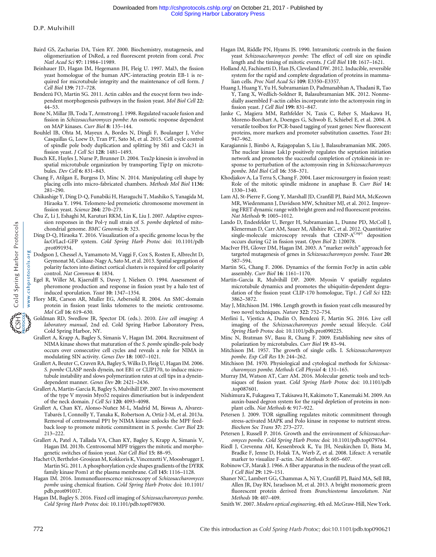- Baird GS, Zacharias DA, Tsien RY. 2000. Biochemistry, mutagenesis, and oligomerization of DsRed, a red fluorescent protein from coral. *Proc Natl Acad Sci* 97: 11984–11989.
- Beinhauer JD, Hagan IM, Hegemann JH, Fleig U. 1997. Mal3, the fission yeast homologue of the human APC-interacting protein EB-1 is required for microtubule integrity and the maintenance of cell form. *J Cell Biol* 139: 717–728.
- Bendezú FO, Martin SG. 2011. Actin cables and the exocyst form two independent morphogenesis pathways in the fission yeast. *Mol Biol Cell* 22: 44–53.
- Bone N, Millar JB, Toda T, Armstrong J. 1998. Regulated vacuole fusion and fission in *Schizosaccharomyces pombe*: An osmotic response dependent on MAP kinases. *Curr Biol* 8: 135–144.
- Bouhlel IB, Ohta M, Mayeux A, Bordes N, Dingli F, Boulanger J, Velve Casquillas G, Loew D, Tran PT, Sato M, et al. 2015. Cell cycle control of spindle pole body duplication and splitting by Sfi1 and Cdc31 in fission yeast. *J Cell Sci* 128: 1481–1493.
- Busch KE, Hayles J, Nurse P, Brunner D. 2004. Tea2p kinesin is involved in spatial microtubule organization by transporting Tip1p on microtubules. *Dev Cell* 6: 831–843.
- Chang F, Atilgan E, Burgess D, Minc N. 2014. Manipulating cell shape by placing cells into micro-fabricated chambers. *Methods Mol Biol* 1136: 281–290.
- Chikashige Y, Ding D-Q, Funabiki H, Haraguchi T, Mashiko S, Yanagida M, Hiraoka Y. 1994. Telomere-led premeiotic chromosome movement in fission yeast. *Science* 264: 270–273.
- Chu Z, Li J, Eshaghi M, Karuturi RKM, Lin K, Liu J. 2007. Adaptive expression responses in the Pol-γ null strain of *S. pombe* depleted of mitochondrial genome. *BMC Genomics* 8: 323.
- Ding D-Q, Hiraoka Y. 2016. Visualization of a specific genome locus by the *lacO*/LacI-GFP system. *Cold Spring Harb Protoc* doi: 10.1101/pdb .prot091934.
- Dodgson J, Chessel A, Yamamoto M, Vaggi F, Cox S, Rosten E, Albrecht D, Geymonat M, Csikasz-Nagy A, Sato M, et al. 2013. Spatial segregation of polarity factors into distinct cortical clusters is required for cell polarity control. *Nat Commun* 4: 1834.
- Egel R, Willer M, Kjaerulff S, Davey J, Nielsen O. 1994. Assessment of pheromone production and response in fission yeast by a halo test of induced sporulation. *Yeast* 10: 1347–1354.
- Flory MR, Carson AR, Muller EG, Aebersold R. 2004. An SMC-domain protein in fission yeast links telomeres to the meiotic centrosome. *Mol Cell* 16: 619–630.
- Goldman RD, Swedlow JR, Spector DL (eds.). 2010. *Live cell imaging: A laboratory manual*, 2nd ed. Cold Spring Harbor Laboratory Press, Cold Spring Harbor, NY.
- Grallert A, Krapp A, Bagley S, Simanis V, Hagan IM. 2004. Recruitment of NIMA kinase shows that maturation of the *S. pombe* spindle-pole body occurs over consecutive cell cycles and reveals a role for NIMA in modulating SIN activity. *Genes Dev* 18: 1007–1021.
- Grallert A, Beuter C, Craven RA, Bagley S, Wilks D, Fleig U, Hagan IM. 2006. *S. pombe* CLASP needs dynein, not EB1 or CLIP170, to induce microtubule instability and slows polymerization rates at cell tips in a dyneindependent manner. *Genes Dev* 20: 2421–2436.
- Grallert A, Martín-García R, Bagley S, Mulvihill DP. 2007. In vivo movement of the type V myosin Myo52 requires dimerisation but is independent of the neck domain. *J Cell Sci* 120: 4093–4098.
- Grallert A, Chan KY, Alonso-Nuñez M-L, Madrid M, Biswas A, Alvarez-Tabarés I, Connolly Y, Tanaka K, Robertson A, Ortiz J-M, et al. 2013a. Removal of centrosomal PP1 by NIMA kinase unlocks the MPF feedback loop to promote mitotic commitment in *S. pombe*. *Curr Biol* 23: 213–222.
- Grallert A, Patel A, Tallada VA, Chan KY, Bagley S, Krapp A, Simanis V, Hagan IM. 2013b. Centrosomal MPF triggers the mitotic and morphogenetic switches of fission yeast. *Nat Cell Biol* 15: 88–95.
- Hachet O, Berthelot-Grosjean M, Kokkoris K, Vincenzetti V, Moosbrugger J, Martin SG. 2011. A phosphorylation cycle shapes gradients of the DYRK family kinase Pom1 at the plasma membrane. *Cell* 145: 1116–1128.
- Hagan IM. 2016. Immunofluorescence microscopy of *Schizosaccharomyces pombe* using chemical fixation. *Cold Spring Harb Protoc* doi: 10.1101/ pdb.prot091017.
- Hagan IM, Bagley S. 2016. Fixed cell imaging of *Schizosaccharomyces pombe*. *Cold Spring Harb Protoc* doi: 10.1101/pdb.top079830.
- Hagan IM, Riddle PN, Hyams JS. 1990. Intramitotic controls in the fission yeast *Schizosaccharomyces pombe*: The effect of cell size on spindle length and the timing of mitotic events. *J Cell Biol* 110: 1617–1621.
- Holland AJ, Fachinetti D, Han JS, Cleveland DW. 2012. Inducible, reversible system for the rapid and complete degradation of proteins in mammalian cells. *Proc Natl Acad Sci* 109: E3350–E3357.
- Huang J, Huang Y, Yu H, Subramanian D, Padmanabhan A, Thadani R, Tao Y, Tang X, Wedlich-Soldner R, Balasubramanian MK. 2012. Nonmedially assembled F-actin cables incorporate into the actomyosin ring in fission yeast. *J Cell Biol* 199: 831–847.
- Janke C, Magiera MM, Rathfelder N, Taxis C, Reber S, Maekawa H, Moreno-Borchart A, Doenges G, Schwob E, Schiebel E, et al. 2004. A versatile toolbox for PCR-based tagging of yeast genes: New fluorescent proteins, more markers and promoter substitution cassettes. *Yeast* 21: 947–962.
- Karagiannis J, Bimbó A, Rajagopalan S, Liu J, Balasubramanian MK. 2005. The nuclear kinase Lsk1p positively regulates the septation initiation network and promotes the successful completion of cytokinesis in response to perturbation of the actomyosin ring in *Schizosaccharomyces pombe*. *Mol Biol Cell* 16: 358–371.
- Khodjakov A, La Terra S, Chang F. 2004. Laser microsurgery in fission yeast: Role of the mitotic spindle midzone in anaphase B. *Curr Biol* 14: 1330–1340.
- Lam AJ, St-Pierre F, Gong Y, Marshall JD, Cranfill PJ, Baird MA, McKeown MR, Wiedenmann J, Davidson MW, Schnitzer MJ, et al. 2012. Improving FRET dynamic range with bright green and red fluorescent proteins. *Nat Methods* 9: 1005–1012.
- Lando D, Endesfelder U, Berger H, Subramanian L, Dunne PD, McColl J, Klenerman D, Carr AM, Sauer M, Allshire RC, et al. 2012. Quantitative single-molecule microscopy reveals that CENP-A<sup>Cnp1</sup> deposition occurs during G2 in fission yeast. *Open Biol* 2: 120078.
- MacIver FH, Glover DM, Hagan IM. 2003. A "marker switch" approach for targeted mutagenesis of genes in *Schizosaccharomyces pombe*. *Yeast* 20: 587–594.
- Martin SG, Chang F. 2006. Dynamics of the formin For3p in actin cable assembly. *Curr Biol* 16: 1161–1170.
- Martín-García R, Mulvihill DP. 2009. Myosin V spatially regulates microtubule dynamics and promotes the ubiquitin-dependent degradation of the fission yeast CLIP-170 homologue, Tip1. *J Cell Sci* 122: 3862–3872.
- May J, Mitchison JM. 1986. Length growth in fission yeast cells measured by two novel techniques. *Nature* 322: 752–754.
- Merlini L, Vjestica A, Dudin O, Bendezú F, Martin SG. 2016. Live cell imaging of the *Schizosaccharomyces pombe* sexual lifecycle. *Cold Spring Harb Protoc* doi: 10.1101/pdb.prot090225.
- Minc N, Bratman SV, Basu R, Chang F. 2009. Establishing new sites of polarization by microtubules. *Curr Biol* 19: 83–94.
- Mitchison JM. 1957. The growth of single cells. I. *Schizosaccharomyces pombe*. *Exp Cell Res* 13: 244–262.
- Mitchison JM. 1970. Physiological and cytological methods for *Schizosaccharomyces pombe*. *Methods Cell Physiol* 4: 131–165.
- Murray JM, Watson AT, Carr AM. 2016. Molecular genetic tools and techniques of fission yeast. *Cold Spring Harb Protoc* doi: 10.1101/pdb .top087601.
- Nishimura K, Fukagawa T, Takisawa H, Kakimoto T, Kanemaki M. 2009. An auxin-based degron system for the rapid depletion of proteins in nonplant cells. *Nat Methods* 6: 917–922.
- Petersen J. 2009. TOR signalling regulates mitotic commitment through stress-activated MAPK and Polo kinase in response to nutrient stress. *Biochem Soc Trans* 37: 273–277.
- Petersen J, Russell P. 2016. Growth and the environment of *Schizosaccharomyces pombe*. *Cold Spring Harb Protoc* doi: 10.1101/pdb.top079764.
- Riedl J, Crevenna AH, Kessenbrock K, Yu JH, Neukirchen D, Bista M, Bradke F, Jenne D, Holak TA, Werb Z, et al. 2008. Lifeact: A versatile marker to visualize F-actin. *Nat Methods* 5: 605–607.
- Robinow CF, Marak J. 1966. A fiber apparatus in the nucleus of the yeast cell. *J Cell Biol* 29: 129–151.
- Shaner NC, Lambert GG, Chammas A, Ni Y, Cranfill PJ, Baird MA, Sell BR, Allen JR, Day RN, Israelsson M, et al. 2013. A bright monomeric green fluorescent protein derived from *Branchiostoma lanceolatum*. *Nat Methods* 10: 407–409.
- Smith W. 2007. *Modern optical engineering*, 4th ed. McGraw-Hill, New York.

org

cshprotocols.

www.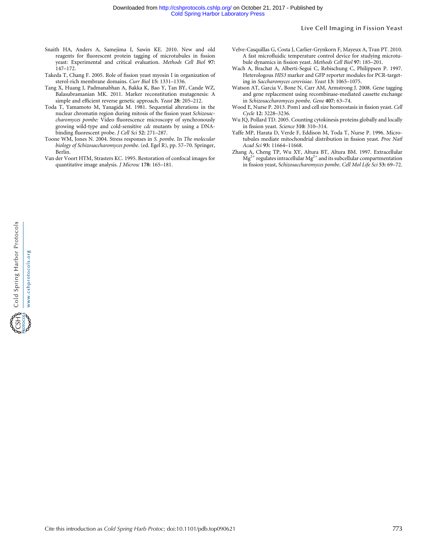#### Live Cell Imaging in Fission Yeast

- Snaith HA, Anders A, Samejima I, Sawin KE. 2010. New and old reagents for fluorescent protein tagging of microtubules in fission yeast: Experimental and critical evaluation. *Methods Cell Biol* 97: 147–172.
- Takeda T, Chang F. 2005. Role of fission yeast myosin I in organization of sterol-rich membrane domains. *Curr Biol* 15: 1331–1336.
- Tang X, Huang J, Padmanabhan A, Bakka K, Bao Y, Tan BY, Cande WZ, Balasubramanian MK. 2011. Marker reconstitution mutagenesis: A simple and efficient reverse genetic approach. *Yeast* 28: 205–212.
- Toda T, Yamamoto M, Yanagida M. 1981. Sequential alterations in the nuclear chromatin region during mitosis of the fission yeast *Schizosaccharomyces pombe:* Video fluorescence microscopy of synchronously growing wild-type and cold-sensitive *cdc* mutants by using a DNAbinding fluorescent probe. *J Cell Sci* 52: 271–287.
- Toone WM, Jones N. 2004. Stress responses in *S. pombe*. In *The molecular biology of Schizosaccharomyces pombe*. (ed. Egel R), pp. 57–70. Springer, Berlin.
- Van der Voort HTM, Strasters KC. 1995. Restoration of confocal images for quantitative image analysis. *J Microsc* 178: 165–181.
- Velve-Casquillas G, Costa J, Carlier-Grynkorn F, Mayeux A, Tran PT. 2010. A fast microfluidic temperature control device for studying microtubule dynamics in fission yeast. *Methods Cell Biol* 97: 185–201.
- Wach A, Brachat A, Alberti-Segui C, Rebischung C, Philippsen P. 1997. Heterologous *HIS3* marker and GFP reporter modules for PCR-targeting in *Saccharomyces cerevisiae*. *Yeast* 13: 1065–1075.
- Watson AT, Garcia V, Bone N, Carr AM, Armstrong J. 2008. Gene tagging and gene replacement using recombinase-mediated cassette exchange in *Schizosaccharomyces pombe*. *Gene* 407: 63–74.
- Wood E, Nurse P. 2013. Pom1 and cell size homeostasis in fission yeast. *Cell Cycle* 12: 3228–3236.
- Wu JQ, Pollard TD. 2005. Counting cytokinesis proteins globally and locally in fission yeast. *Science* 310: 310–314.
- Yaffe MP, Harata D, Verde F, Eddison M, Toda T, Nurse P. 1996. Microtubules mediate mitochondrial distribution in fission yeast. *Proc Natl Acad Sci* 93: 11664–11668.
- Zhang A, Cheng TP, Wu XY, Altura BT, Altura BM. 1997. Extracellular  $Mg^{2+}$  regulates intracellular  $Mg^{2+}$  and its subcellular compartmentation in fission yeast, S*chizosaccharomyces pombe*. *Cell Mol Life Sci* 53: 69–72.